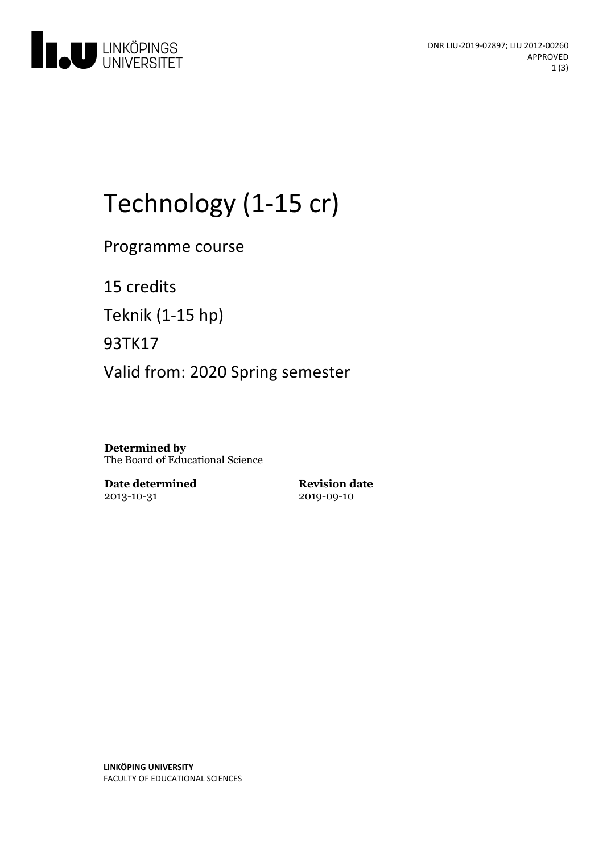

# Technology (1-15 cr)

Programme course

15 credits

Teknik (1-15 hp)

93TK17

Valid from: 2020 Spring semester

**Determined by** The Board of Educational Science

**Date determined** 2013-10-31

**Revision date** 2019-09-10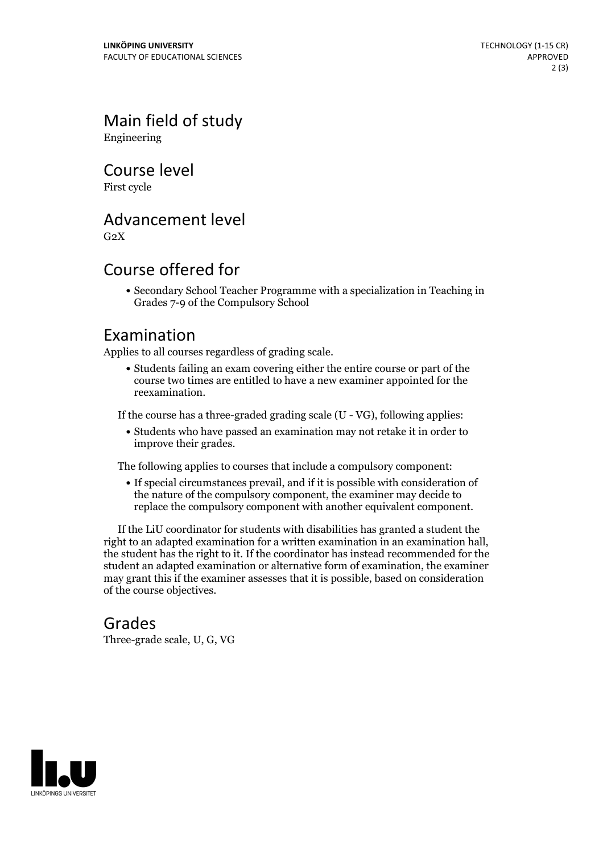Main field of study Engineering

Course level

First cycle

### Advancement level

 $G<sub>2</sub>X$ 

## Course offered for

Secondary School Teacher Programme with a specialization in Teaching in Grades 7-9 of the Compulsory School

#### Examination

Applies to all courses regardless of grading scale.

Students failing an exam covering either the entire course or part of the course two times are entitled to have a new examiner appointed for the reexamination.

If the course has a three-graded grading scale (U - VG), following applies:

Students who have passed an examination may not retake it in order to improve their grades.

The following applies to courses that include a compulsory component:

If special circumstances prevail, and if it is possible with consideration of the nature of the compulsory component, the examiner may decide to replace the compulsory component with another equivalent component.

If the LiU coordinator for students with disabilities has granted a student the right to an adapted examination for <sup>a</sup> written examination in an examination hall, the student has the right to it. If the coordinator has instead recommended for the student an adapted examination or alternative form of examination, the examiner may grant this if the examiner assesses that it is possible, based on consideration of the course objectives.

#### Grades

Three-grade scale, U, G, VG